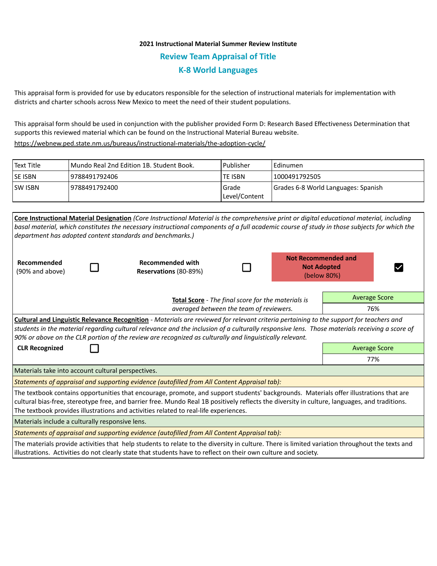## **2021 Instructional Material Summer Review Institute Review Team Appraisal of Title K-8 World Languages**

This appraisal form is provided for use by educators responsible for the selection of instructional materials for implementation with districts and charter schools across New Mexico to meet the need of their student populations.

This appraisal form should be used in conjunction with the publisher provided Form D: Research Based Effectiveness Determination that supports this reviewed material which can be found on the Instructional Material Bureau website.

<https://webnew.ped.state.nm.us/bureaus/instructional-materials/the-adoption-cycle/>

| Text Title     | Mundo Real 2nd Edition 1B. Student Book. | Publisher                | I Edinumen                          |  |  |
|----------------|------------------------------------------|--------------------------|-------------------------------------|--|--|
| <b>SE ISBN</b> | 9788491792406                            | <b>TE ISBN</b>           | 11000491792505                      |  |  |
| <b>SW ISBN</b> | 19788491792400                           | Grade<br>  Level/Content | Grades 6-8 World Languages: Spanish |  |  |

|                                                                                                                                                                                                                                                                                                                                                                                                     |  | Core Instructional Material Designation (Core Instructional Material is the comprehensive print or digital educational material, including  |  |  |                                                                 |                      |  |  |  |
|-----------------------------------------------------------------------------------------------------------------------------------------------------------------------------------------------------------------------------------------------------------------------------------------------------------------------------------------------------------------------------------------------------|--|---------------------------------------------------------------------------------------------------------------------------------------------|--|--|-----------------------------------------------------------------|----------------------|--|--|--|
|                                                                                                                                                                                                                                                                                                                                                                                                     |  | basal material, which constitutes the necessary instructional components of a full academic course of study in those subjects for which the |  |  |                                                                 |                      |  |  |  |
| department has adopted content standards and benchmarks.)                                                                                                                                                                                                                                                                                                                                           |  |                                                                                                                                             |  |  |                                                                 |                      |  |  |  |
| Recommended<br>(90% and above)                                                                                                                                                                                                                                                                                                                                                                      |  | <b>Recommended with</b><br>Reservations (80-89%)                                                                                            |  |  | <b>Not Recommended and</b><br><b>Not Adopted</b><br>(below 80%) |                      |  |  |  |
|                                                                                                                                                                                                                                                                                                                                                                                                     |  | Total Score - The final score for the materials is<br>averaged between the team of reviewers.                                               |  |  | <b>Average Score</b>                                            |                      |  |  |  |
|                                                                                                                                                                                                                                                                                                                                                                                                     |  |                                                                                                                                             |  |  | 76%                                                             |                      |  |  |  |
| Cultural and Linguistic Relevance Recognition - Materials are reviewed for relevant criteria pertaining to the support for teachers and<br>students in the material regarding cultural relevance and the inclusion of a culturally responsive lens. Those materials receiving a score of<br>90% or above on the CLR portion of the review are recognized as culturally and linguistically relevant. |  |                                                                                                                                             |  |  |                                                                 |                      |  |  |  |
| <b>CLR Recognized</b>                                                                                                                                                                                                                                                                                                                                                                               |  |                                                                                                                                             |  |  |                                                                 | <b>Average Score</b> |  |  |  |
|                                                                                                                                                                                                                                                                                                                                                                                                     |  | 77%                                                                                                                                         |  |  |                                                                 |                      |  |  |  |
| Materials take into account cultural perspectives.                                                                                                                                                                                                                                                                                                                                                  |  |                                                                                                                                             |  |  |                                                                 |                      |  |  |  |
| Statements of appraisal and supporting evidence (autofilled from All Content Appraisal tab):                                                                                                                                                                                                                                                                                                        |  |                                                                                                                                             |  |  |                                                                 |                      |  |  |  |
| The textbook contains opportunities that encourage, promote, and support students' backgrounds. Materials offer illustrations that are<br>cultural bias-free, stereotype free, and barrier free. Mundo Real 1B positively reflects the diversity in culture, languages, and traditions.<br>The textbook provides illustrations and activities related to real-life experiences.                     |  |                                                                                                                                             |  |  |                                                                 |                      |  |  |  |
| Materials include a culturally responsive lens.                                                                                                                                                                                                                                                                                                                                                     |  |                                                                                                                                             |  |  |                                                                 |                      |  |  |  |
| Statements of appraisal and supporting evidence (autofilled from All Content Appraisal tab):                                                                                                                                                                                                                                                                                                        |  |                                                                                                                                             |  |  |                                                                 |                      |  |  |  |
| The materials provide activities that help students to relate to the diversity in culture. There is limited variation throughout the texts and<br>illustrations. Activities do not clearly state that students have to reflect on their own culture and society.                                                                                                                                    |  |                                                                                                                                             |  |  |                                                                 |                      |  |  |  |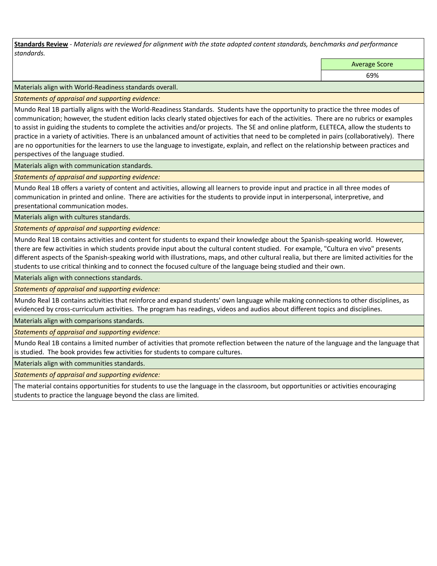**Standards Review** *- Materials are reviewed for alignment with the state adopted content standards, benchmarks and performance standards.*

Average Score

69%

Materials align with World-Readiness standards overall.

*Statements of appraisal and supporting evidence:* 

Mundo Real 1B partially aligns with the World-Readiness Standards. Students have the opportunity to practice the three modes of communication; however, the student edition lacks clearly stated objectives for each of the activities. There are no rubrics or examples to assist in guiding the students to complete the activities and/or projects. The SE and online platform, ELETECA, allow the students to practice in a variety of activities. There is an unbalanced amount of activities that need to be completed in pairs (collaboratively). There are no opportunities for the learners to use the language to investigate, explain, and reflect on the relationship between practices and perspectives of the language studied.

Materials align with communication standards.

*Statements of appraisal and supporting evidence:* 

Mundo Real 1B offers a variety of content and activities, allowing all learners to provide input and practice in all three modes of communication in printed and online. There are activities for the students to provide input in interpersonal, interpretive, and presentational communication modes.

Materials align with cultures standards.

*Statements of appraisal and supporting evidence:* 

Mundo Real 1B contains activities and content for students to expand their knowledge about the Spanish-speaking world. However, there are few activities in which students provide input about the cultural content studied. For example, "Cultura en vivo" presents different aspects of the Spanish-speaking world with illustrations, maps, and other cultural realia, but there are limited activities for the students to use critical thinking and to connect the focused culture of the language being studied and their own.

Materials align with connections standards.

*Statements of appraisal and supporting evidence:* 

Mundo Real 1B contains activities that reinforce and expand students' own language while making connections to other disciplines, as evidenced by cross-curriculum activities. The program has readings, videos and audios about different topics and disciplines.

Materials align with comparisons standards.

*Statements of appraisal and supporting evidence:* 

Mundo Real 1B contains a limited number of activities that promote reflection between the nature of the language and the language that is studied. The book provides few activities for students to compare cultures.

Materials align with communities standards.

*Statements of appraisal and supporting evidence:* 

The material contains opportunities for students to use the language in the classroom, but opportunities or activities encouraging students to practice the language beyond the class are limited.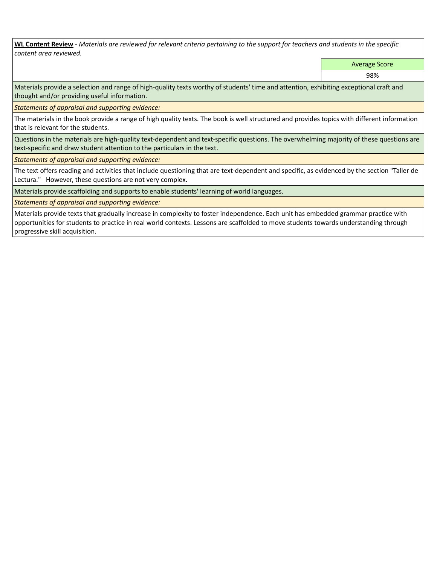**WL Content Review** *- Materials are reviewed for relevant criteria pertaining to the support for teachers and students in the specific content area reviewed.*

Average Score

98%

Materials provide a selection and range of high-quality texts worthy of students' time and attention, exhibiting exceptional craft and thought and/or providing useful information.

*Statements of appraisal and supporting evidence:* 

The materials in the book provide a range of high quality texts. The book is well structured and provides topics with different information that is relevant for the students.

Questions in the materials are high-quality text-dependent and text-specific questions. The overwhelming majority of these questions are text-specific and draw student attention to the particulars in the text.

*Statements of appraisal and supporting evidence:* 

The text offers reading and activities that include questioning that are text-dependent and specific, as evidenced by the section "Taller de Lectura." However, these questions are not very complex.

Materials provide scaffolding and supports to enable students' learning of world languages.

*Statements of appraisal and supporting evidence:* 

Materials provide texts that gradually increase in complexity to foster independence. Each unit has embedded grammar practice with opportunities for students to practice in real world contexts. Lessons are scaffolded to move students towards understanding through progressive skill acquisition.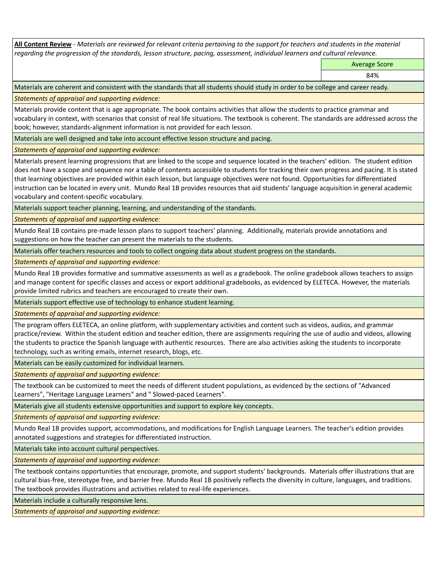**All Content Review** *- Materials are reviewed for relevant criteria pertaining to the support for teachers and students in the material regarding the progression of the standards, lesson structure, pacing, assessment, individual learners and cultural relevance.*

Average Score

84%

Materials are coherent and consistent with the standards that all students should study in order to be college and career ready.

*Statements of appraisal and supporting evidence:*

Materials provide content that is age appropriate. The book contains activities that allow the students to practice grammar and vocabulary in context, with scenarios that consist of real life situations. The textbook is coherent. The standards are addressed across the book; however, standards-alignment information is not provided for each lesson.

Materials are well designed and take into account effective lesson structure and pacing.

*Statements of appraisal and supporting evidence:*

Materials present learning progressions that are linked to the scope and sequence located in the teachers' edition. The student edition does not have a scope and sequence nor a table of contents accessible to students for tracking their own progress and pacing. It is stated that learning objectives are provided within each lesson, but language objectives were not found. Opportunities for differentiated instruction can be located in every unit. Mundo Real 1B provides resources that aid students' language acquisition in general academic vocabulary and content-specific vocabulary.

Materials support teacher planning, learning, and understanding of the standards.

*Statements of appraisal and supporting evidence:*

Mundo Real 1B contains pre-made lesson plans to support teachers' planning. Additionally, materials provide annotations and suggestions on how the teacher can present the materials to the students.

Materials offer teachers resources and tools to collect ongoing data about student progress on the standards.

*Statements of appraisal and supporting evidence:*

Mundo Real 1B provides formative and summative assessments as well as a gradebook. The online gradebook allows teachers to assign and manage content for specific classes and access or export additional gradebooks, as evidenced by ELETECA. However, the materials provide limited rubrics and teachers are encouraged to create their own.

Materials support effective use of technology to enhance student learning.

*Statements of appraisal and supporting evidence:*

The program offers ELETECA, an online platform, with supplementary activities and content such as videos, audios, and grammar practice/review. Within the student edition and teacher edition, there are assignments requiring the use of audio and videos, allowing the students to practice the Spanish language with authentic resources. There are also activities asking the students to incorporate technology, such as writing emails, internet research, blogs, etc.

Materials can be easily customized for individual learners.

*Statements of appraisal and supporting evidence:* 

The textbook can be customized to meet the needs of different student populations, as evidenced by the sections of "Advanced Learners", "Heritage Language Learners" and " Slowed-paced Learners".

Materials give all students extensive opportunities and support to explore key concepts.

*Statements of appraisal and supporting evidence:*

Mundo Real 1B provides support, accommodations, and modifications for English Language Learners. The teacher's edition provides annotated suggestions and strategies for differentiated instruction.

Materials take into account cultural perspectives.

*Statements of appraisal and supporting evidence:*

The textbook contains opportunities that encourage, promote, and support students' backgrounds. Materials offer illustrations that are cultural bias-free, stereotype free, and barrier free. Mundo Real 1B positively reflects the diversity in culture, languages, and traditions. The textbook provides illustrations and activities related to real-life experiences.

Materials include a culturally responsive lens.

*Statements of appraisal and supporting evidence:*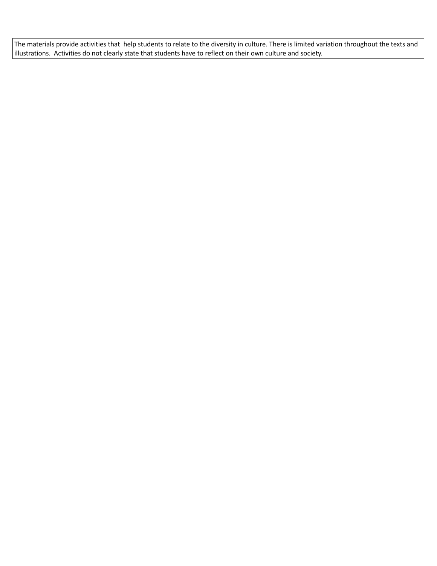The materials provide activities that help students to relate to the diversity in culture. There is limited variation throughout the texts and illustrations. Activities do not clearly state that students have to reflect on their own culture and society.